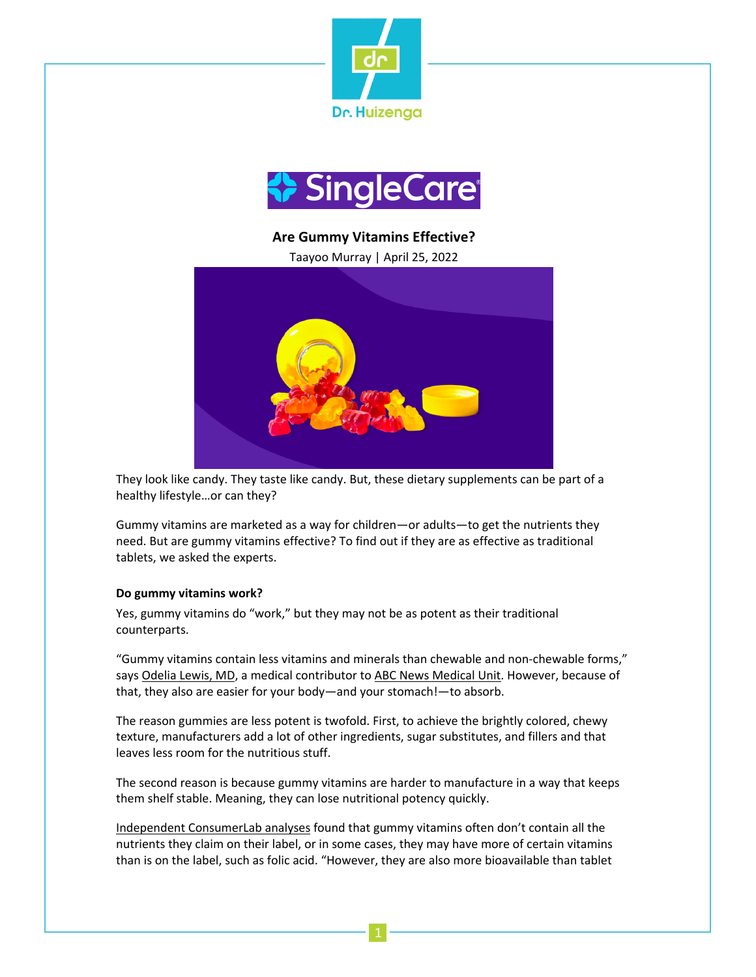



**Are Gummy Vitamins Effective?**

Taayoo Murray | April 25, 2022



They look like candy. They taste like candy. But, these dietary supplements can be part of a healthy lifestyle…or can they?

Gummy vitamins are marketed as a way for children—or adults—to get the nutrients they need. But are gummy vitamins effective? To find out if they are as effective as traditional tablets, we asked the experts.

# **Do gummy vitamins work?**

Yes, gummy vitamins do "work," but they may not be as potent as their traditional counterparts.

"Gummy vitamins contain less vitamins and minerals than chewable and non-chewable forms," says Odelia Lewis, MD, a medical contributor to ABC News Medical Unit. However, because of that, they also are easier for your body—and your stomach!—to absorb.

The reason gummies are less potent is twofold. First, to achieve the brightly colored, chewy texture, manufacturers add a lot of other ingredients, sugar substitutes, and fillers and that leaves less room for the nutritious stuff.

The second reason is because gummy vitamins are harder to manufacture in a way that keeps them shelf stable. Meaning, they can lose nutritional potency quickly.

Independent ConsumerLab analyses found that gummy vitamins often don't contain all the nutrients they claim on their label, or in some cases, they may have more of certain vitamins than is on the label, such as folic acid. "However, they are also more bioavailable than tablet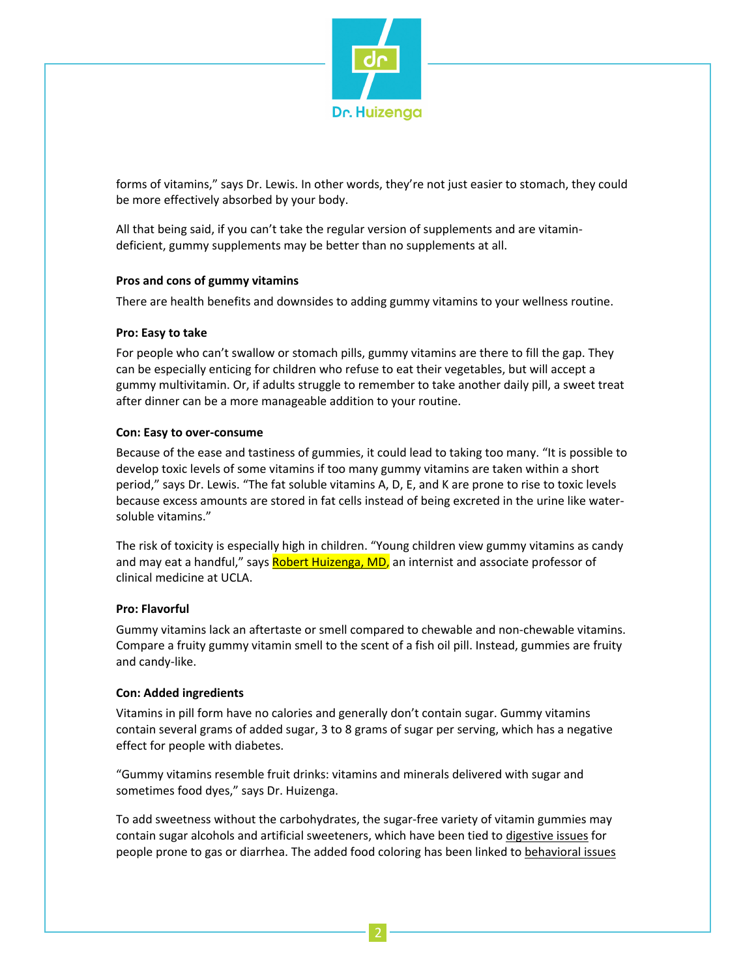

forms of vitamins," says Dr. Lewis. In other words, they're not just easier to stomach, they could be more effectively absorbed by your body.

All that being said, if you can't take the regular version of supplements and are vitamindeficient, gummy supplements may be better than no supplements at all.

### **Pros and cons of gummy vitamins**

There are health benefits and downsides to adding gummy vitamins to your wellness routine.

### **Pro: Easy to take**

For people who can't swallow or stomach pills, gummy vitamins are there to fill the gap. They can be especially enticing for children who refuse to eat their vegetables, but will accept a gummy multivitamin. Or, if adults struggle to remember to take another daily pill, a sweet treat after dinner can be a more manageable addition to your routine.

### **Con: Easy to over-consume**

Because of the ease and tastiness of gummies, it could lead to taking too many. "It is possible to develop toxic levels of some vitamins if too many gummy vitamins are taken within a short period," says Dr. Lewis. "The fat soluble vitamins A, D, E, and K are prone to rise to toxic levels because excess amounts are stored in fat cells instead of being excreted in the urine like watersoluble vitamins."

The risk of toxicity is especially high in children. "Young children view gummy vitamins as candy and may eat a handful," says Robert Huizenga, MD, an internist and associate professor of clinical medicine at UCLA.

#### **Pro: Flavorful**

Gummy vitamins lack an aftertaste or smell compared to chewable and non-chewable vitamins. Compare a fruity gummy vitamin smell to the scent of a fish oil pill. Instead, gummies are fruity and candy-like.

#### **Con: Added ingredients**

Vitamins in pill form have no calories and generally don't contain sugar. Gummy vitamins contain several grams of added sugar, 3 to 8 grams of sugar per serving, which has a negative effect for people with diabetes.

"Gummy vitamins resemble fruit drinks: vitamins and minerals delivered with sugar and sometimes food dyes," says Dr. Huizenga.

To add sweetness without the carbohydrates, the sugar-free variety of vitamin gummies may contain sugar alcohols and artificial sweeteners, which have been tied to digestive issues for people prone to gas or diarrhea. The added food coloring has been linked to behavioral issues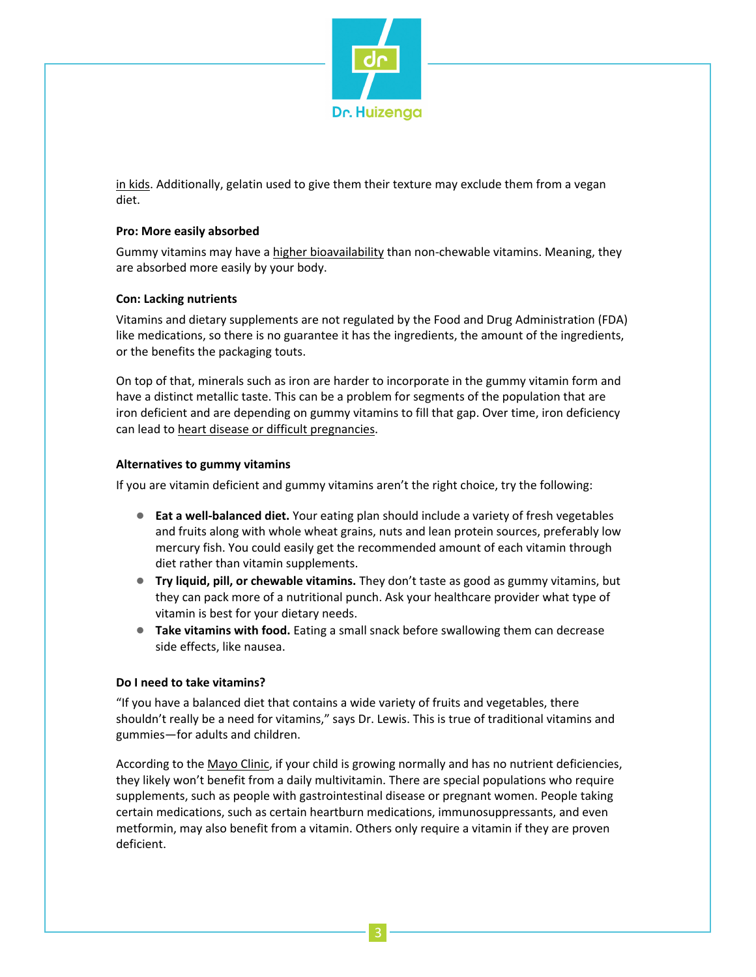

in kids. Additionally, gelatin used to give them their texture may exclude them from a vegan diet.

## **Pro: More easily absorbed**

Gummy vitamins may have a higher bioavailability than non-chewable vitamins. Meaning, they are absorbed more easily by your body.

### **Con: Lacking nutrients**

Vitamins and dietary supplements are not regulated by the Food and Drug Administration (FDA) like medications, so there is no guarantee it has the ingredients, the amount of the ingredients, or the benefits the packaging touts.

On top of that, minerals such as iron are harder to incorporate in the gummy vitamin form and have a distinct metallic taste. This can be a problem for segments of the population that are iron deficient and are depending on gummy vitamins to fill that gap. Over time, iron deficiency can lead to heart disease or difficult pregnancies.

### **Alternatives to gummy vitamins**

If you are vitamin deficient and gummy vitamins aren't the right choice, try the following:

- **Eat a well-balanced diet.** Your eating plan should include a variety of fresh vegetables and fruits along with whole wheat grains, nuts and lean protein sources, preferably low mercury fish. You could easily get the recommended amount of each vitamin through diet rather than vitamin supplements.
- **Try liquid, pill, or chewable vitamins.** They don't taste as good as gummy vitamins, but they can pack more of a nutritional punch. Ask your healthcare provider what type of vitamin is best for your dietary needs.
- **Take vitamins with food.** Eating a small snack before swallowing them can decrease side effects, like nausea.

#### **Do I need to take vitamins?**

"If you have a balanced diet that contains a wide variety of fruits and vegetables, there shouldn't really be a need for vitamins," says Dr. Lewis. This is true of traditional vitamins and gummies—for adults and children.

According to the Mayo Clinic, if your child is growing normally and has no nutrient deficiencies, they likely won't benefit from a daily multivitamin. There are special populations who require supplements, such as people with gastrointestinal disease or pregnant women. People taking certain medications, such as certain heartburn medications, immunosuppressants, and even metformin, may also benefit from a vitamin. Others only require a vitamin if they are proven deficient.